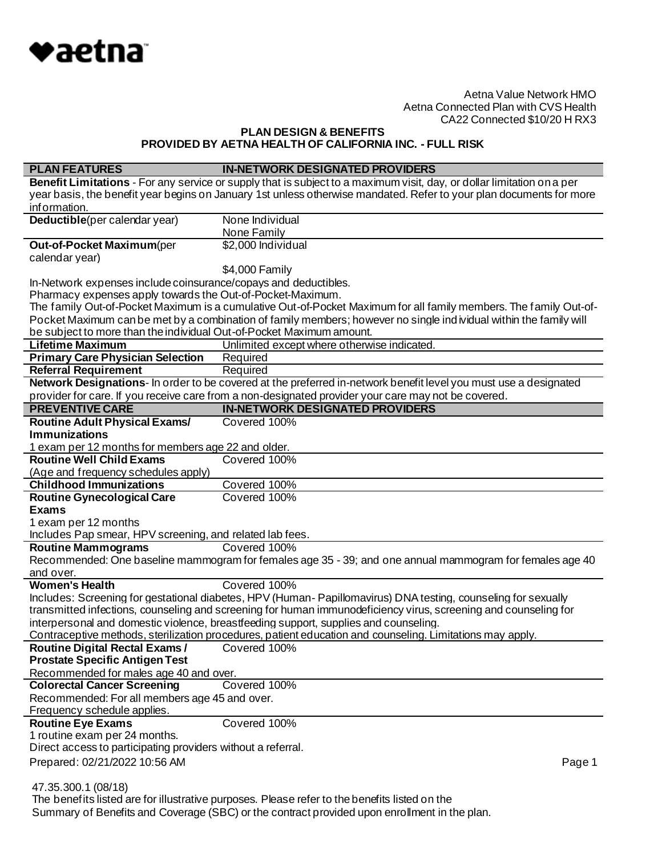

# **PLAN DESIGN & BENEFITS PROVIDED BY AETNA HEALTH OF CALIFORNIA INC. - FULL RISK**

| <b>PLAN FEATURES</b>                                                                                                                                                                                                             | <b>IN-NETWORK DESIGNATED PROVIDERS</b>                                                                                 |  |
|----------------------------------------------------------------------------------------------------------------------------------------------------------------------------------------------------------------------------------|------------------------------------------------------------------------------------------------------------------------|--|
|                                                                                                                                                                                                                                  | Benefit Limitations - For any service or supply that is subject to a maximum visit, day, or dollar limitation on a per |  |
|                                                                                                                                                                                                                                  | year basis, the benefit year begins on January 1st unless otherwise mandated. Refer to your plan documents for more    |  |
| information.                                                                                                                                                                                                                     |                                                                                                                        |  |
| Deductible(per calendar year)                                                                                                                                                                                                    | None Individual                                                                                                        |  |
|                                                                                                                                                                                                                                  | None Family                                                                                                            |  |
| Out-of-Pocket Maximum(per                                                                                                                                                                                                        | \$2,000 Individual                                                                                                     |  |
| calendar year)                                                                                                                                                                                                                   |                                                                                                                        |  |
|                                                                                                                                                                                                                                  | \$4,000 Family                                                                                                         |  |
| In-Network expenses include coinsurance/copays and deductibles.                                                                                                                                                                  |                                                                                                                        |  |
| Pharmacy expenses apply towards the Out-of-Pocket-Maximum.                                                                                                                                                                       |                                                                                                                        |  |
|                                                                                                                                                                                                                                  | The family Out-of-Pocket Maximum is a cumulative Out-of-Pocket Maximum for all family members. The family Out-of-      |  |
|                                                                                                                                                                                                                                  | Pocket Maximum can be met by a combination of family members; however no single ind ividual within the family will     |  |
| be subject to more than the individual Out-of-Pocket Maximum amount.                                                                                                                                                             |                                                                                                                        |  |
| <b>Lifetime Maximum</b>                                                                                                                                                                                                          | Unlimited except where otherwise indicated.                                                                            |  |
| <b>Primary Care Physician Selection</b>                                                                                                                                                                                          | Required                                                                                                               |  |
| <b>Referral Requirement</b>                                                                                                                                                                                                      | Required                                                                                                               |  |
|                                                                                                                                                                                                                                  | Network Designations- In order to be covered at the preferred in-network benefit level you must use a designated       |  |
|                                                                                                                                                                                                                                  | provider for care. If you receive care from a non-designated provider your care may not be covered.                    |  |
| <b>PREVENTIVE CARE</b>                                                                                                                                                                                                           | <b>IN-NETWORK DESIGNATED PROVIDERS</b>                                                                                 |  |
| <b>Routine Adult Physical Exams/</b>                                                                                                                                                                                             | Covered 100%                                                                                                           |  |
| <b>Immunizations</b>                                                                                                                                                                                                             |                                                                                                                        |  |
| 1 exam per 12 months for members age 22 and older.                                                                                                                                                                               |                                                                                                                        |  |
| <b>Routine Well Child Exams</b>                                                                                                                                                                                                  | Covered 100%                                                                                                           |  |
| (Age and frequency schedules apply)                                                                                                                                                                                              |                                                                                                                        |  |
| <b>Childhood Immunizations</b>                                                                                                                                                                                                   | Covered 100%<br>Covered 100%                                                                                           |  |
| <b>Routine Gynecological Care</b>                                                                                                                                                                                                |                                                                                                                        |  |
| <b>Exams</b>                                                                                                                                                                                                                     |                                                                                                                        |  |
| 1 exam per 12 months                                                                                                                                                                                                             |                                                                                                                        |  |
| Includes Pap smear, HPV screening, and related lab fees.<br><b>Routine Mammograms</b>                                                                                                                                            | Covered 100%                                                                                                           |  |
|                                                                                                                                                                                                                                  |                                                                                                                        |  |
| and over.                                                                                                                                                                                                                        | Recommended: One baseline mammogram for females age 35 - 39; and one annual mammogram for females age 40               |  |
| <b>Women's Health</b>                                                                                                                                                                                                            | Covered 100%                                                                                                           |  |
|                                                                                                                                                                                                                                  |                                                                                                                        |  |
| Includes: Screening for gestational diabetes, HPV (Human-Papillomavirus) DNA testing, counseling for sexually<br>transmitted infections, counseling and screening for human immunodeficiency virus, screening and counseling for |                                                                                                                        |  |
| interpersonal and domestic violence, breastfeeding support, supplies and counseling.                                                                                                                                             |                                                                                                                        |  |
|                                                                                                                                                                                                                                  | Contraceptive methods, sterilization procedures, patient education and counseling. Limitations may apply.              |  |
| <b>Routine Digital Rectal Exams /</b><br>Covered 100%                                                                                                                                                                            |                                                                                                                        |  |
| <b>Prostate Specific Antigen Test</b>                                                                                                                                                                                            |                                                                                                                        |  |
| Recommended for males age 40 and over.                                                                                                                                                                                           |                                                                                                                        |  |
| <b>Colorectal Cancer Screening</b>                                                                                                                                                                                               | Covered 100%                                                                                                           |  |
| Recommended: For all members age 45 and over.                                                                                                                                                                                    |                                                                                                                        |  |
| Frequency schedule applies.                                                                                                                                                                                                      |                                                                                                                        |  |
| <b>Routine Eye Exams</b>                                                                                                                                                                                                         | Covered 100%                                                                                                           |  |
| 1 routine exam per 24 months.                                                                                                                                                                                                    |                                                                                                                        |  |
| Direct access to participating providers without a referral.                                                                                                                                                                     |                                                                                                                        |  |
| Prepared: 02/21/2022 10:56 AM                                                                                                                                                                                                    | Page 1                                                                                                                 |  |
|                                                                                                                                                                                                                                  |                                                                                                                        |  |
| 47.35.300.1 (08/18)                                                                                                                                                                                                              |                                                                                                                        |  |
|                                                                                                                                                                                                                                  | The benefits listed are for illustrative purposes. Please refer to the benefits listed on the                          |  |

Summary of Benefits and Coverage (SBC) or the contract provided upon enrollment in the plan.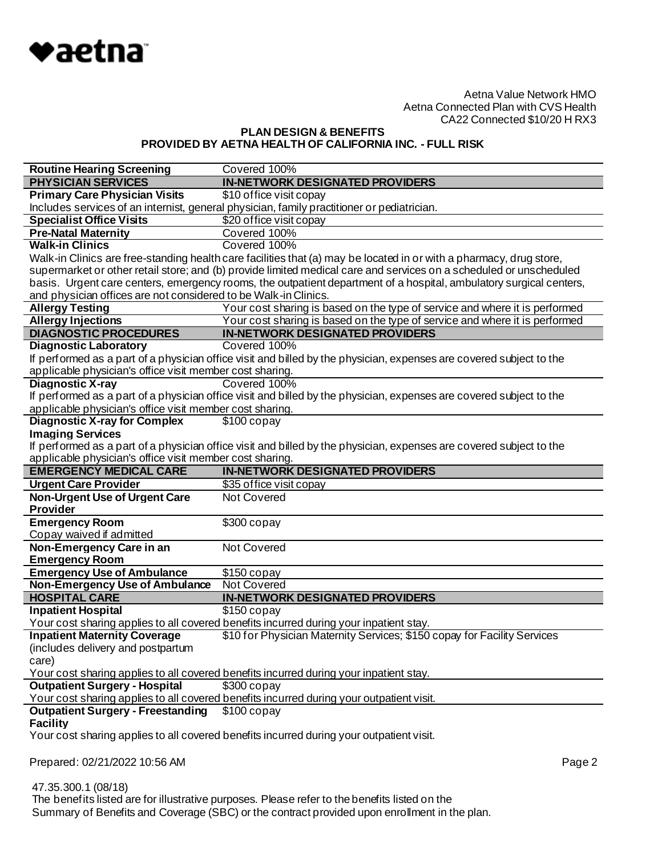

# **PLAN DESIGN & BENEFITS PROVIDED BY AETNA HEALTH OF CALIFORNIA INC. - FULL RISK**

| <b>Routine Hearing Screening</b>                                | Covered 100%                                                                                                        |
|-----------------------------------------------------------------|---------------------------------------------------------------------------------------------------------------------|
| <b>PHYSICIAN SERVICES</b>                                       | <b>IN-NETWORK DESIGNATED PROVIDERS</b>                                                                              |
| <b>Primary Care Physician Visits</b>                            | \$10 office visit copay                                                                                             |
|                                                                 | Includes services of an internist, general physician, family practitioner or pediatrician.                          |
| <b>Specialist Office Visits</b>                                 | \$20 office visit copay                                                                                             |
| <b>Pre-Natal Maternity</b>                                      | Covered 100%                                                                                                        |
| <b>Walk-in Clinics</b>                                          | Covered 100%                                                                                                        |
|                                                                 | Walk-in Clinics are free-standing health care facilities that (a) may be located in or with a pharmacy, drug store, |
|                                                                 | supermarket or other retail store; and (b) provide limited medical care and services on a scheduled or unscheduled  |
|                                                                 | basis. Urgent care centers, emergency rooms, the outpatient department of a hospital, ambulatory surgical centers,  |
| and physician offices are not considered to be Walk-in Clinics. |                                                                                                                     |
| <b>Allergy Testing</b>                                          | Your cost sharing is based on the type of service and where it is performed                                         |
| <b>Allergy Injections</b>                                       | Your cost sharing is based on the type of service and where it is performed                                         |
| <b>DIAGNOSTIC PROCEDURES</b>                                    | <b>IN-NETWORK DESIGNATED PROVIDERS</b>                                                                              |
| <b>Diagnostic Laboratory</b>                                    | Covered 100%                                                                                                        |
|                                                                 | If performed as a part of a physician office visit and billed by the physician, expenses are covered subject to the |
| applicable physician's office visit member cost sharing.        |                                                                                                                     |
| <b>Diagnostic X-ray</b>                                         | Covered 100%                                                                                                        |
|                                                                 | If performed as a part of a physician office visit and billed by the physician, expenses are covered subject to the |
| applicable physician's office visit member cost sharing.        |                                                                                                                     |
| <b>Diagnostic X-ray for Complex</b>                             | $$100$ copay                                                                                                        |
| <b>Imaging Services</b>                                         |                                                                                                                     |
|                                                                 | If performed as a part of a physician office visit and billed by the physician, expenses are covered subject to the |
| applicable physician's office visit member cost sharing.        |                                                                                                                     |
|                                                                 |                                                                                                                     |
| <b>EMERGENCY MEDICAL CARE</b>                                   | <b>IN-NETWORK DESIGNATED PROVIDERS</b>                                                                              |
| <b>Urgent Care Provider</b>                                     | \$35 office visit copay                                                                                             |
| <b>Non-Urgent Use of Urgent Care</b>                            | <b>Not Covered</b>                                                                                                  |
| <b>Provider</b>                                                 |                                                                                                                     |
| <b>Emergency Room</b>                                           | \$300 copay                                                                                                         |
| Copay waived if admitted                                        |                                                                                                                     |
| Non-Emergency Care in an                                        | Not Covered                                                                                                         |
| <b>Emergency Room</b>                                           |                                                                                                                     |
| <b>Emergency Use of Ambulance</b>                               | $$150$ copay                                                                                                        |
| <b>Non-Emergency Use of Ambulance</b>                           | <b>Not Covered</b>                                                                                                  |
| <b>HOSPITAL CARE</b>                                            | <b>IN-NETWORK DESIGNATED PROVIDERS</b>                                                                              |
| <b>Inpatient Hospital</b>                                       | $$150$ copay                                                                                                        |
|                                                                 | Your cost sharing applies to all covered benefits incurred during your inpatient stay.                              |
| <b>Inpatient Maternity Coverage</b>                             | \$10 for Physician Maternity Services; \$150 copay for Facility Services                                            |
| (includes delivery and postpartum                               |                                                                                                                     |
| care)                                                           |                                                                                                                     |
|                                                                 | Your cost sharing applies to all covered benefits incurred during your inpatient stay.                              |
| <b>Outpatient Surgery - Hospital</b>                            | $$300$ copay                                                                                                        |
|                                                                 | Your cost sharing applies to all covered benefits incurred during your outpatient visit.                            |
| <b>Outpatient Surgery - Freestanding</b>                        | $$100$ copay                                                                                                        |
| <b>Facility</b>                                                 |                                                                                                                     |
|                                                                 | Your cost sharing applies to all covered benefits incurred during your outpatient visit.                            |
|                                                                 |                                                                                                                     |
| Prepared: 02/21/2022 10:56 AM                                   | Page 2                                                                                                              |

 47.35.300.1 (08/18) The benefits listed are for illustrative purposes. Please refer to the benefits listed on the Summary of Benefits and Coverage (SBC) or the contract provided upon enrollment in the plan.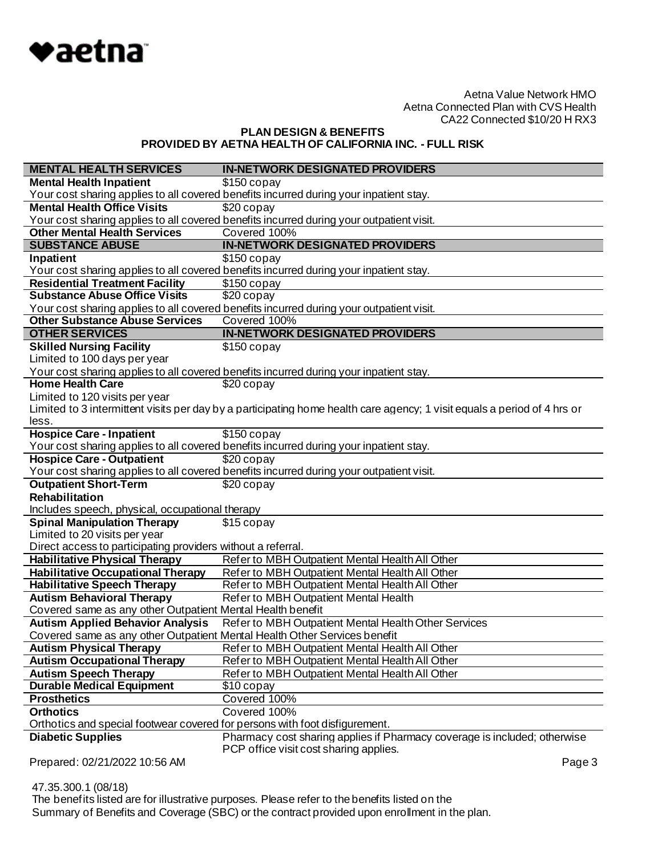

**PLAN DESIGN & BENEFITS PROVIDED BY AETNA HEALTH OF CALIFORNIA INC. - FULL RISK**

| <b>MENTAL HEALTH SERVICES</b>                                                                         | <b>IN-NETWORK DESIGNATED PROVIDERS</b>                                                                                   |
|-------------------------------------------------------------------------------------------------------|--------------------------------------------------------------------------------------------------------------------------|
| <b>Mental Health Inpatient</b>                                                                        | $$150$ copay                                                                                                             |
|                                                                                                       | Your cost sharing applies to all covered benefits incurred during your inpatient stay.                                   |
| <b>Mental Health Office Visits</b>                                                                    | \$20 copay                                                                                                               |
|                                                                                                       | Your cost sharing applies to all covered benefits incurred during your outpatient visit.                                 |
| <b>Other Mental Health Services</b>                                                                   | Covered 100%                                                                                                             |
| <b>SUBSTANCE ABUSE</b>                                                                                | <b>IN-NETWORK DESIGNATED PROVIDERS</b>                                                                                   |
| Inpatient                                                                                             | $$150$ copay                                                                                                             |
|                                                                                                       | Your cost sharing applies to all covered benefits incurred during your inpatient stay.                                   |
| <b>Residential Treatment Facility</b>                                                                 | $$150$ copay                                                                                                             |
| <b>Substance Abuse Office Visits</b>                                                                  | \$20 copay                                                                                                               |
|                                                                                                       | Your cost sharing applies to all covered benefits incurred during your outpatient visit.                                 |
| <b>Other Substance Abuse Services</b>                                                                 | Covered 100%                                                                                                             |
| <b>OTHER SERVICES</b>                                                                                 | <b>IN-NETWORK DESIGNATED PROVIDERS</b>                                                                                   |
| <b>Skilled Nursing Facility</b>                                                                       | $$150$ copay                                                                                                             |
| Limited to 100 days per year                                                                          |                                                                                                                          |
|                                                                                                       | Your cost sharing applies to all covered benefits incurred during your inpatient stay.                                   |
| <b>Home Health Care</b>                                                                               | \$20 copay                                                                                                               |
| Limited to 120 visits per year                                                                        |                                                                                                                          |
|                                                                                                       | Limited to 3 intermittent visits per day by a participating home health care agency; 1 visit equals a period of 4 hrs or |
| less.                                                                                                 |                                                                                                                          |
| <b>Hospice Care - Inpatient</b>                                                                       | $$150$ copay                                                                                                             |
|                                                                                                       | Your cost sharing applies to all covered benefits incurred during your inpatient stay.                                   |
| <b>Hospice Care - Outpatient</b>                                                                      | \$20 copay                                                                                                               |
|                                                                                                       | Your cost sharing applies to all covered benefits incurred during your outpatient visit.                                 |
| <b>Outpatient Short-Term</b>                                                                          | \$20 copay                                                                                                               |
| <b>Rehabilitation</b>                                                                                 |                                                                                                                          |
| Includes speech, physical, occupational therapy                                                       |                                                                                                                          |
| <b>Spinal Manipulation Therapy</b>                                                                    | \$15 copay                                                                                                               |
| Limited to 20 visits per year                                                                         |                                                                                                                          |
| Direct access to participating providers without a referral.                                          |                                                                                                                          |
| <b>Habilitative Physical Therapy</b>                                                                  | Refer to MBH Outpatient Mental Health All Other                                                                          |
| <b>Habilitative Occupational Therapy</b>                                                              | Refer to MBH Outpatient Mental Health All Other                                                                          |
| <b>Habilitative Speech Therapy</b>                                                                    | Refer to MBH Outpatient Mental Health All Other                                                                          |
| <b>Autism Behavioral Therapy</b>                                                                      | Refer to MBH Outpatient Mental Health                                                                                    |
| Covered same as any other Outpatient Mental Health benefit<br><b>Autism Applied Behavior Analysis</b> | Refer to MBH Outpatient Mental Health Other Services                                                                     |
|                                                                                                       |                                                                                                                          |
| Covered same as any other Outpatient Mental Health Other Services benefit                             |                                                                                                                          |
| <b>Autism Physical Therapy</b>                                                                        | Refer to MBH Outpatient Mental Health All Other                                                                          |
| <b>Autism Occupational Therapy</b>                                                                    | Refer to MBH Outpatient Mental Health All Other                                                                          |
| <b>Autism Speech Therapy</b>                                                                          | Refer to MBH Outpatient Mental Health All Other                                                                          |
| <b>Durable Medical Equipment</b>                                                                      | \$10 copay                                                                                                               |
| <b>Prosthetics</b><br><b>Orthotics</b>                                                                | Covered 100%                                                                                                             |
|                                                                                                       | Covered 100%                                                                                                             |
| Orthotics and special footwear covered for persons with foot disfigurement.                           | Pharmacy cost sharing applies if Pharmacy coverage is included; otherwise                                                |
| <b>Diabetic Supplies</b>                                                                              | PCP office visit cost sharing applies.                                                                                   |
| Prepared: 02/21/2022 10:56 AM                                                                         | Page 3                                                                                                                   |

47.35.300.1 (08/18)

 The benefits listed are for illustrative purposes. Please refer to the benefits listed on the Summary of Benefits and Coverage (SBC) or the contract provided upon enrollment in the plan.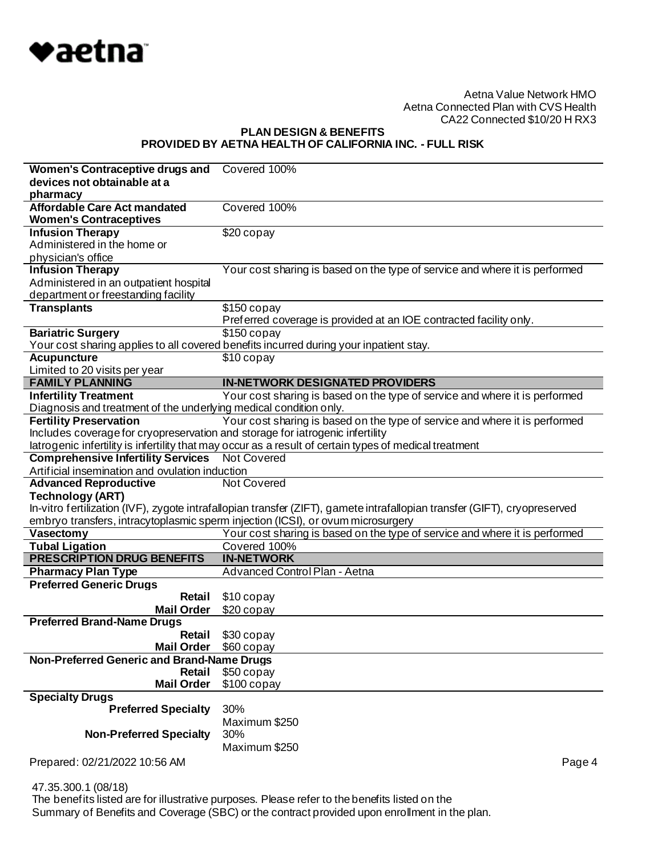

# **PLAN DESIGN & BENEFITS PROVIDED BY AETNA HEALTH OF CALIFORNIA INC. - FULL RISK**

| Women's Contraceptive drugs and                                               | Covered 100%                                                                                                              |
|-------------------------------------------------------------------------------|---------------------------------------------------------------------------------------------------------------------------|
| devices not obtainable at a                                                   |                                                                                                                           |
| pharmacy                                                                      |                                                                                                                           |
| <b>Affordable Care Act mandated</b>                                           | Covered 100%                                                                                                              |
| <b>Women's Contraceptives</b>                                                 |                                                                                                                           |
| <b>Infusion Therapy</b>                                                       | \$20 copay                                                                                                                |
| Administered in the home or                                                   |                                                                                                                           |
| physician's office                                                            |                                                                                                                           |
| <b>Infusion Therapy</b>                                                       | Your cost sharing is based on the type of service and where it is performed                                               |
| Administered in an outpatient hospital                                        |                                                                                                                           |
| department or freestanding facility                                           |                                                                                                                           |
| <b>Transplants</b>                                                            | $$150$ copay                                                                                                              |
|                                                                               | Preferred coverage is provided at an IOE contracted facility only.                                                        |
| <b>Bariatric Surgery</b>                                                      | $$150$ copay                                                                                                              |
| <b>Acupuncture</b>                                                            | Your cost sharing applies to all covered benefits incurred during your inpatient stay.<br>\$10 copay                      |
| Limited to 20 visits per year                                                 |                                                                                                                           |
| <b>FAMILY PLANNING</b>                                                        | <b>IN-NETWORK DESIGNATED PROVIDERS</b>                                                                                    |
| <b>Infertility Treatment</b>                                                  | Your cost sharing is based on the type of service and where it is performed                                               |
| Diagnosis and treatment of the underlying medical condition only.             |                                                                                                                           |
| <b>Fertility Preservation</b>                                                 | Your cost sharing is based on the type of service and where it is performed                                               |
| Includes coverage for cryopreservation and storage for iatrogenic infertility |                                                                                                                           |
|                                                                               | latrogenic infertility is infertility that may occur as a result of certain types of medical treatment                    |
| <b>Comprehensive Infertility Services</b>                                     | <b>Not Covered</b>                                                                                                        |
| Artificial insemination and ovulation induction                               |                                                                                                                           |
| <b>Advanced Reproductive</b>                                                  | Not Covered                                                                                                               |
| <b>Technology (ART)</b>                                                       |                                                                                                                           |
|                                                                               | In-vitro fertilization (IVF), zygote intrafallopian transfer (ZIFT), gamete intrafallopian transfer (GIFT), cryopreserved |
|                                                                               | embryo transfers, intracytoplasmic sperm injection (ICSI), or ovum microsurgery                                           |
| Vasectomy                                                                     | Your cost sharing is based on the type of service and where it is performed                                               |
| <b>Tubal Ligation</b>                                                         | Covered 100%                                                                                                              |
| <b>PRESCRIPTION DRUG BENEFITS</b>                                             | <b>IN-NETWORK</b>                                                                                                         |
| <b>Pharmacy Plan Type</b>                                                     | Advanced Control Plan - Aetna                                                                                             |
| <b>Preferred Generic Drugs</b><br>Retail                                      |                                                                                                                           |
| <b>Mail Order</b>                                                             | \$10 copay<br>\$20 copay                                                                                                  |
| <b>Preferred Brand-Name Drugs</b>                                             |                                                                                                                           |
| Retail                                                                        | \$30 copay                                                                                                                |
| <b>Mail Order</b>                                                             | \$60 copay                                                                                                                |
| Non-Preferred Generic and Brand-Name Drugs                                    |                                                                                                                           |
| Retail                                                                        | \$50 copay                                                                                                                |
| <b>Mail Order</b>                                                             | $$100$ copay                                                                                                              |
| <b>Specialty Drugs</b>                                                        |                                                                                                                           |
| <b>Preferred Specialty</b>                                                    | 30%                                                                                                                       |
|                                                                               | Maximum \$250                                                                                                             |
| <b>Non-Preferred Specialty</b>                                                |                                                                                                                           |
|                                                                               | 30%                                                                                                                       |
|                                                                               | Maximum \$250                                                                                                             |
| Prepared: 02/21/2022 10:56 AM                                                 | Page 4                                                                                                                    |

47.35.300.1 (08/18)

 The benefits listed are for illustrative purposes. Please refer to the benefits listed on the Summary of Benefits and Coverage (SBC) or the contract provided upon enrollment in the plan.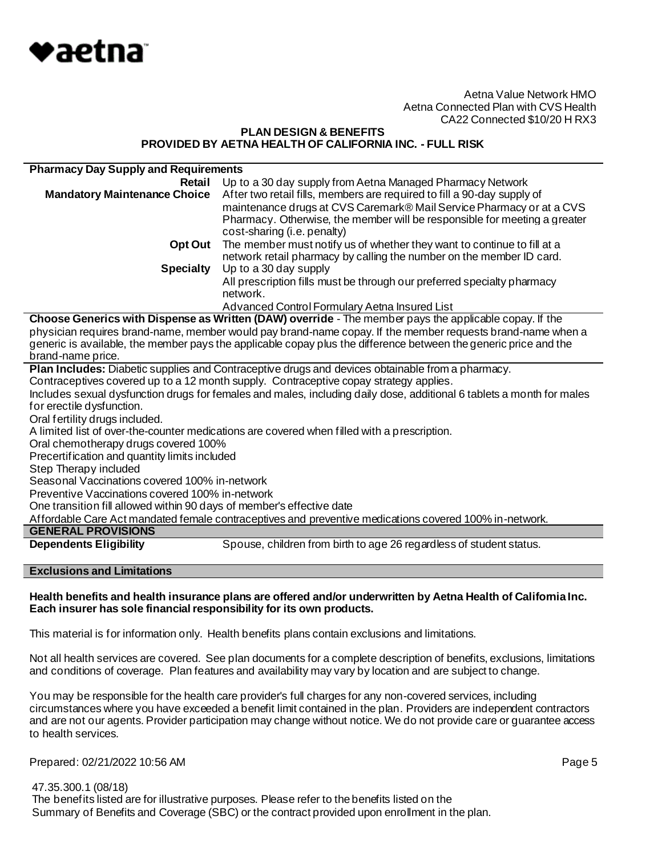

#### **PLAN DESIGN & BENEFITS PROVIDED BY AETNA HEALTH OF CALIFORNIA INC. - FULL RISK**

| <b>Pharmacy Day Supply and Requirements</b>                                                                           |                                                                           |  |
|-----------------------------------------------------------------------------------------------------------------------|---------------------------------------------------------------------------|--|
| Retail                                                                                                                | Up to a 30 day supply from Aetna Managed Pharmacy Network                 |  |
| <b>Mandatory Maintenance Choice</b>                                                                                   | After two retail fills, members are required to fill a 90-day supply of   |  |
|                                                                                                                       | maintenance drugs at CVS Caremark® Mail Service Pharmacy or at a CVS      |  |
|                                                                                                                       | Pharmacy. Otherwise, the member will be responsible for meeting a greater |  |
|                                                                                                                       | cost-sharing (i.e. penalty)                                               |  |
| Opt Out                                                                                                               | The member must notify us of whether they want to continue to fill at a   |  |
|                                                                                                                       | network retail pharmacy by calling the number on the member ID card.      |  |
| <b>Specialty</b>                                                                                                      | Up to a 30 day supply                                                     |  |
|                                                                                                                       | All prescription fills must be through our preferred specialty pharmacy   |  |
|                                                                                                                       | network.                                                                  |  |
|                                                                                                                       | Advanced Control Formulary Aetna Insured List                             |  |
| Choose Generics with Dispense as Written (DAW) override - The member pays the applicable copay. If the                |                                                                           |  |
| physician requires brand-name, member would pay brand-name copay. If the member requests brand-name when a            |                                                                           |  |
| generic is available, the member pays the applicable copay plus the difference between the generic price and the      |                                                                           |  |
| brand-name price.                                                                                                     |                                                                           |  |
| Plan Includes: Diabetic supplies and Contraceptive drugs and devices obtainable from a pharmacy.                      |                                                                           |  |
| Contraceptives covered up to a 12 month supply. Contraceptive copay strategy applies.                                 |                                                                           |  |
| Includes sexual dysfunction drugs for females and males, including daily dose, additional 6 tablets a month for males |                                                                           |  |
| for erectile dysfunction.                                                                                             |                                                                           |  |

Oral fertility drugs included.

A limited list of over-the-counter medications are covered when filled with a prescription.

Oral chemotherapy drugs covered 100%

Precertification and quantity limits included

Step Therapy included

Seasonal Vaccinations covered 100% in-network

Preventive Vaccinations covered 100% in-network

One transition fill allowed within 90 days of member's effective date

Affordable Care Act mandated female contraceptives and preventive medications covered 100% in-network.

## **GENERAL PROVISIONS**

**Dependents Eligibility** Spouse, children from birth to age 26 regardless of student status.

## **Exclusions and Limitations**

#### **Health benefits and health insurance plans are offered and/or underwritten by Aetna Health of California Inc. Each insurer has sole financial responsibility for its own products.**

This material is for information only. Health benefits plans contain exclusions and limitations.

Not all health services are covered. See plan documents for a complete description of benefits, exclusions, limitations and conditions of coverage. Plan features and availability may vary by location and are subject to change.

You may be responsible for the health care provider's full charges for any non-covered services, including circumstances where you have exceeded a benefit limit contained in the plan. Providers are independent contractors and are not our agents. Provider participation may change without notice. We do not provide care or guarantee access to health services.

Prepared: 02/21/2022 10:56 AM **Page 5** 

 47.35.300.1 (08/18) The benefits listed are for illustrative purposes. Please refer to the benefits listed on the Summary of Benefits and Coverage (SBC) or the contract provided upon enrollment in the plan.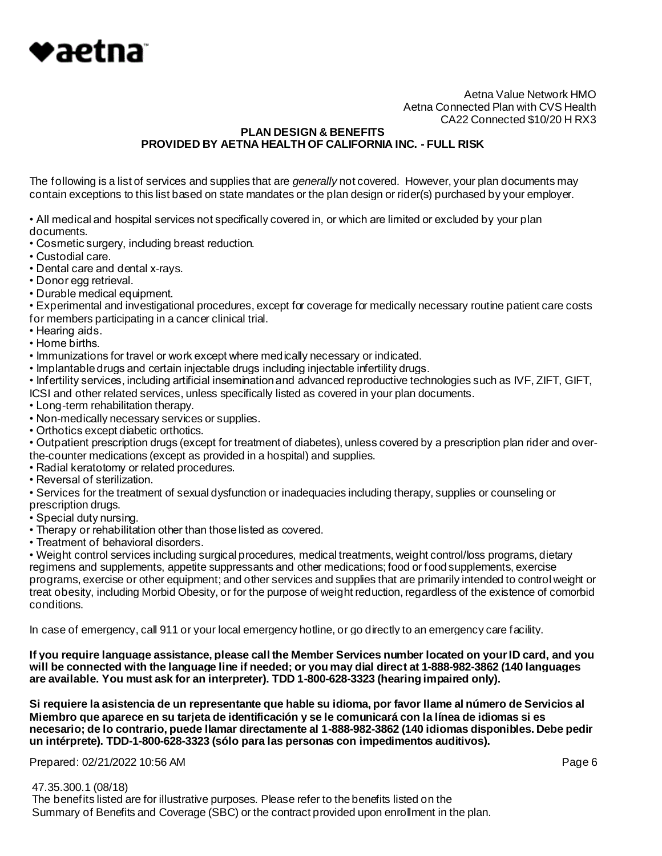

### **PLAN DESIGN & BENEFITS PROVIDED BY AETNA HEALTH OF CALIFORNIA INC. - FULL RISK**

The following is a list of services and supplies that are *generally* not covered. However, your plan documents may contain exceptions to this list based on state mandates or the plan design or rider(s) purchased by your employer.

• All medical and hospital services not specifically covered in, or which are limited or excluded by your plan documents.

• Cosmetic surgery, including breast reduction.

• Custodial care.

- Dental care and dental x-rays.
- Donor egg retrieval.
- Durable medical equipment.

• Experimental and investigational procedures, except for coverage for medically necessary routine patient care costs for members participating in a cancer clinical trial.

- Hearing aids.
- Home births.
- Immunizations for travel or work except where medically necessary or indicated.
- Implantable drugs and certain injectable drugs including injectable infertility drugs.

• Infertility services, including artificial insemination and advanced reproductive technologies such as IVF, ZIFT, GIFT,

- ICSI and other related services, unless specifically listed as covered in your plan documents.
- Long-term rehabilitation therapy.
- Non-medically necessary services or supplies.
- Orthotics except diabetic orthotics.

• Outpatient prescription drugs (except for treatment of diabetes), unless covered by a prescription plan rider and overthe-counter medications (except as provided in a hospital) and supplies.

- Radial keratotomy or related procedures.
- Reversal of sterilization.

• Services for the treatment of sexual dysfunction or inadequacies including therapy, supplies or counseling or prescription drugs.

- Special duty nursing.
- Therapy or rehabilitation other than those listed as covered.
- Treatment of behavioral disorders.

• Weight control services including surgical procedures, medical treatments, weight control/loss programs, dietary regimens and supplements, appetite suppressants and other medications; food or food supplements, exercise programs, exercise or other equipment; and other services and supplies that are primarily intended to control weight or treat obesity, including Morbid Obesity, or for the purpose of weight reduction, regardless of the existence of comorbid conditions.

In case of emergency, call 911 or your local emergency hotline, or go directly to an emergency care facility.

**If you require language assistance, please call the Member Services number located on your ID card, and you will be connected with the language line if needed; or you may dial direct at 1-888-982-3862 (140 languages are available. You must ask for an interpreter). TDD 1-800-628-3323 (hearing impaired only).**

**Si requiere la asistencia de un representante que hable su idioma, por favor llame al número de Servicios al Miembro que aparece en su tarjeta de identificación y se le comunicará con la línea de idiomas si es necesario; de lo contrario, puede llamar directamente al 1-888-982-3862 (140 idiomas disponibles. Debe pedir un intérprete). TDD-1-800-628-3323 (sólo para las personas con impedimentos auditivos).**

Prepared: 02/21/2022 10:56 AM **Page 6** 

47.35.300.1 (08/18)

 The benefits listed are for illustrative purposes. Please refer to the benefits listed on the Summary of Benefits and Coverage (SBC) or the contract provided upon enrollment in the plan.